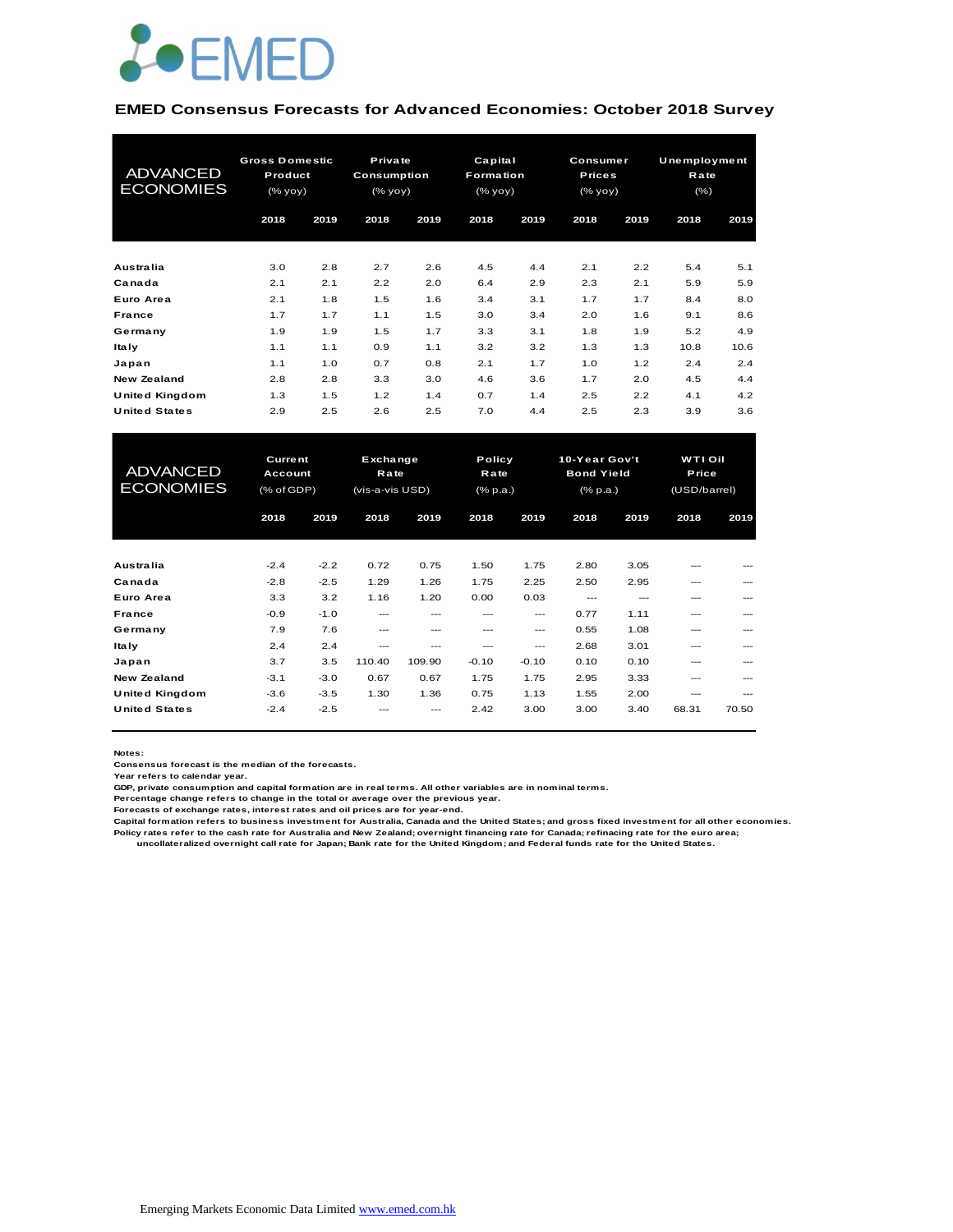

#### **EMED Consensus Forecasts for Advanced Economies: October 2018 Survey**

| <b>ADVANCED</b><br><b>ECONOMIES</b> | <b>Gross Domestic</b><br>Product<br>(% yoy) |      | Private<br>Consumption<br>(% yoy) |      | Capital<br><b>Formation</b><br>(% yoy) |      | Consumer<br><b>Prices</b><br>(% yoy) |      | Unemployment<br>Rate<br>$(\% )$ |      |
|-------------------------------------|---------------------------------------------|------|-----------------------------------|------|----------------------------------------|------|--------------------------------------|------|---------------------------------|------|
|                                     | 2018                                        | 2019 | 2018                              | 2019 | 2018                                   | 2019 | 2018                                 | 2019 | 2018                            | 2019 |
| <b>Australia</b>                    | 3.0                                         | 2.8  | 2.7                               | 2.6  | 4.5                                    | 4.4  | 2.1                                  | 2.2  | 5.4                             | 5.1  |
| Canada                              | 2.1                                         | 2.1  | 2.2                               | 2.0  | 6.4                                    | 2.9  | 2.3                                  | 2.1  | 5.9                             | 5.9  |
| Euro Area                           | 2.1                                         | 1.8  | 1.5                               | 1.6  | 3.4                                    | 3.1  | 1.7                                  | 1.7  | 8.4                             | 8.0  |
| <b>France</b>                       | 1.7                                         | 1.7  | 1.1                               | 1.5  | 3.0                                    | 3.4  | 2.0                                  | 1.6  | 9.1                             | 8.6  |
| Germany                             | 1.9                                         | 1.9  | 1.5                               | 1.7  | 3.3                                    | 3.1  | 1.8                                  | 1.9  | 5.2                             | 4.9  |
| <b>Italy</b>                        | 1.1                                         | 1.1  | 0.9                               | 1.1  | 3.2                                    | 3.2  | 1.3                                  | 1.3  | 10.8                            | 10.6 |
| Japan                               | 1.1                                         | 1.0  | 0.7                               | 0.8  | 2.1                                    | 1.7  | 1.0                                  | 1.2  | 2.4                             | 2.4  |
| <b>New Zealand</b>                  | 2.8                                         | 2.8  | 3.3                               | 3.0  | 4.6                                    | 3.6  | 1.7                                  | 2.0  | 4.5                             | 4.4  |
| <b>United Kingdom</b>               | 1.3                                         | 1.5  | 1.2                               | 1.4  | 0.7                                    | 1.4  | 2.5                                  | 2.2  | 4.1                             | 4.2  |
| <b>United States</b>                | 2.9                                         | 2.5  | 2.6                               | 2.5  | 7.0                                    | 4.4  | 2.5                                  | 2.3  | 3.9                             | 3.6  |

| <b>United Kingdom</b>               | 1.3                                     | 1.5    | 1.2                                 | 1.4    | 0.7                        | 1.4     | 2.5                                                             | 2.2  | 4.1   | 4.2                              |  |
|-------------------------------------|-----------------------------------------|--------|-------------------------------------|--------|----------------------------|---------|-----------------------------------------------------------------|------|-------|----------------------------------|--|
| <b>United States</b>                | 2.9                                     | 2.5    | 2.6                                 | 2.5    | 7.0                        | 4.4     | 2.5                                                             | 2.3  | 3.9   | 3.6                              |  |
|                                     |                                         |        |                                     |        |                            |         |                                                                 |      |       |                                  |  |
| <b>ADVANCED</b><br><b>ECONOMIES</b> | <b>Current</b><br>Account<br>(% of GDP) |        | Exchange<br>Rate<br>(vis-a-vis USD) |        | Policy<br>Rate<br>(% p.a.) |         | 10-Year Gov't<br><b>Bond Yield</b><br>$(*$ <sub>p.a</sub> . $)$ |      |       | WTI Oil<br>Price<br>(USD/barrel) |  |
|                                     | 2018                                    | 2019   | 2018                                | 2019   | 2018                       | 2019    | 2018                                                            | 2019 | 2018  | 2019                             |  |
|                                     |                                         |        |                                     |        |                            |         |                                                                 |      |       |                                  |  |
| Australia                           | $-2.4$                                  | $-2.2$ | 0.72                                | 0.75   | 1.50                       | 1.75    | 2.80                                                            | 3.05 | ---   |                                  |  |
| Canada                              | $-2.8$                                  | $-2.5$ | 1.29                                | 1.26   | 1.75                       | 2.25    | 2.50                                                            | 2.95 | ---   |                                  |  |
| Euro Area                           | 3.3                                     | 3.2    | 1.16                                | 1.20   | 0.00                       | 0.03    | ---                                                             | ---  | ---   |                                  |  |
| France                              | $-0.9$                                  | $-1.0$ | ---                                 | ---    | ---                        | $---$   | 0.77                                                            | 1.11 | ---   | ---                              |  |
| Germany                             | 7.9                                     | 7.6    | $---$                               | ---    | $---$                      | ---     | 0.55                                                            | 1.08 | ---   | ---                              |  |
| <b>Italy</b>                        | 2.4                                     | 2.4    | ---                                 | ---    | ---                        | ---     | 2.68                                                            | 3.01 | ---   | ---                              |  |
| Japan                               | 3.7                                     | 3.5    | 110.40                              | 109.90 | $-0.10$                    | $-0.10$ | 0.10                                                            | 0.10 | ---   |                                  |  |
| <b>New Zealand</b>                  | $-3.1$                                  | $-3.0$ | 0.67                                | 0.67   | 1.75                       | 1.75    | 2.95                                                            | 3.33 | ---   |                                  |  |
| <b>United Kingdom</b>               | $-3.6$                                  | $-3.5$ | 1.30                                | 1.36   | 0.75                       | 1.13    | 1.55                                                            | 2.00 | ---   | ---                              |  |
| <b>United States</b>                | $-2.4$                                  | $-2.5$ |                                     |        | 2.42                       | 3.00    | 3.00                                                            | 3.40 | 68.31 | 70.50                            |  |

**Notes:** 

**Consensus forecast is the median of the forecasts.**

**Year refers to calendar year.**

**GDP, private consumption and capital formation are in real terms. All other variables are in nominal terms.**

**Percentage change refers to change in the total or average over the previous year.**

**Forecasts of exchange rates, interest rates and oil prices are for year-end.**

**Capital formation refers to business investment for Australia, Canada and the United States; and gross fixed investment for all other economies. Policy rates refer to the cash rate for Australia and New Zealand; overnight financing rate for Canada; refinacing rate for the euro area; uncollateralized overnight call rate for Japan; Bank rate for the United Kingdom; and Federal funds rate for the United States.**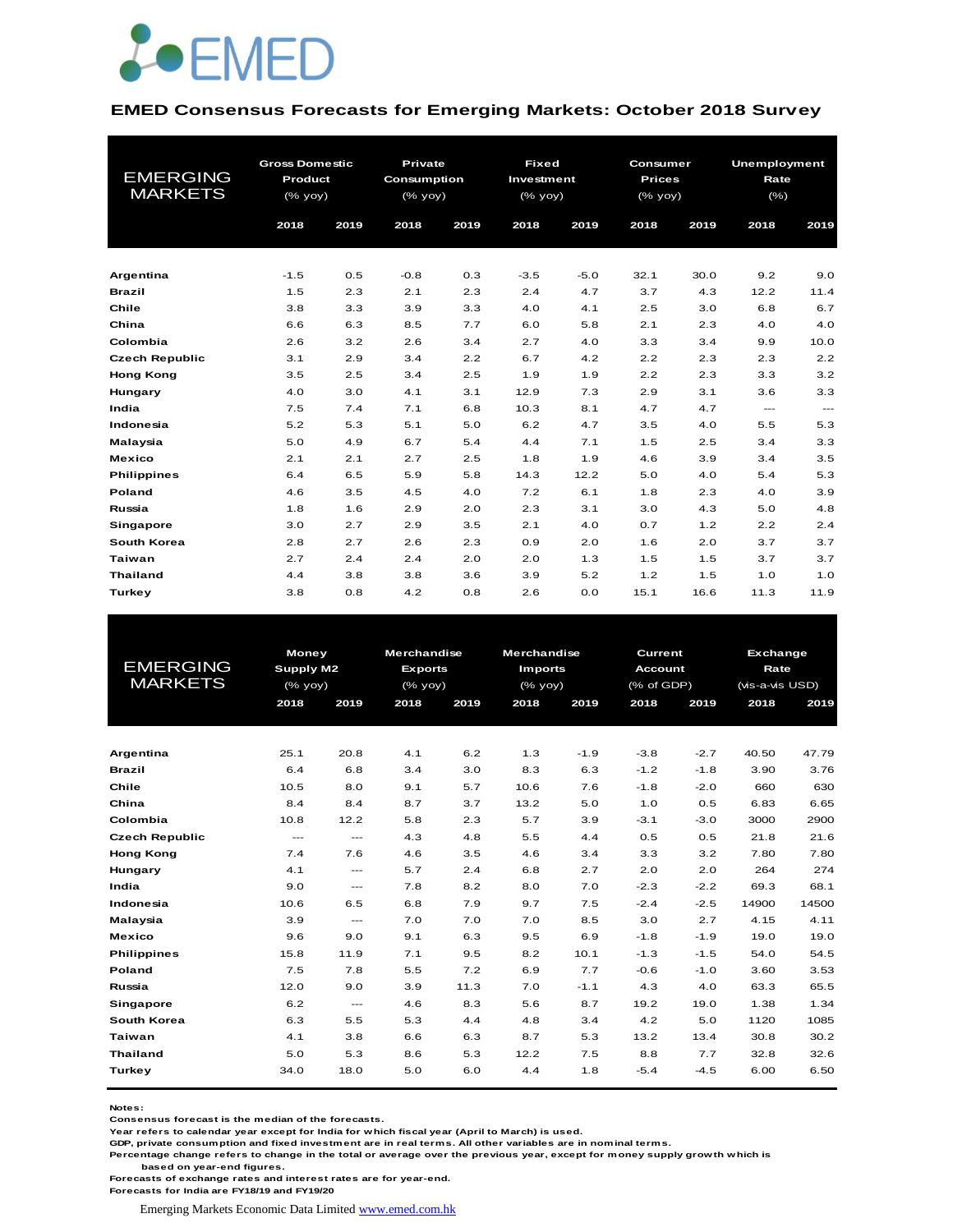

#### **EMED Consensus Forecasts for Emerging Markets: October 2018 Survey**

| <b>EMERGING</b><br><b>MARKETS</b> | <b>Gross Domestic</b><br>Product<br>$(%$ (% yoy) |      |        |      |        | Private<br><b>Consumption</b><br>$(% \mathsf{A}\rightarrow \mathsf{B})$ (% yoy) |      | <b>Fixed</b><br>Investment<br>(% yoy) |          | Consumer<br><b>Prices</b><br>(% yoy) | <b>Unemployment</b><br>Rate<br>$(\% )$ |  |
|-----------------------------------|--------------------------------------------------|------|--------|------|--------|---------------------------------------------------------------------------------|------|---------------------------------------|----------|--------------------------------------|----------------------------------------|--|
|                                   | 2018                                             | 2019 | 2018   | 2019 | 2018   | 2019                                                                            | 2018 | 2019                                  | 2018     | 2019                                 |                                        |  |
|                                   |                                                  |      |        |      |        |                                                                                 |      |                                       |          |                                      |                                        |  |
| Argentina                         | $-1.5$                                           | 0.5  | $-0.8$ | 0.3  | $-3.5$ | $-5.0$                                                                          | 32.1 | 30.0                                  | 9.2      | 9.0                                  |                                        |  |
| <b>Brazil</b>                     | 1.5                                              | 2.3  | 2.1    | 2.3  | 2.4    | 4.7                                                                             | 3.7  | 4.3                                   | 12.2     | 11.4                                 |                                        |  |
| Chile                             | 3.8                                              | 3.3  | 3.9    | 3.3  | 4.0    | 4.1                                                                             | 2.5  | 3.0                                   | 6.8      | 6.7                                  |                                        |  |
| China                             | 6.6                                              | 6.3  | 8.5    | 7.7  | 6.0    | 5.8                                                                             | 2.1  | 2.3                                   | 4.0      | 4.0                                  |                                        |  |
| Colombia                          | 2.6                                              | 3.2  | 2.6    | 3.4  | 2.7    | 4.0                                                                             | 3.3  | 3.4                                   | 9.9      | 10.0                                 |                                        |  |
| <b>Czech Republic</b>             | 3.1                                              | 2.9  | 3.4    | 2.2  | 6.7    | 4.2                                                                             | 2.2  | 2.3                                   | 2.3      | 2.2                                  |                                        |  |
| <b>Hong Kong</b>                  | 3.5                                              | 2.5  | 3.4    | 2.5  | 1.9    | 1.9                                                                             | 2.2  | 2.3                                   | 3.3      | 3.2                                  |                                        |  |
| Hungary                           | 4.0                                              | 3.0  | 4.1    | 3.1  | 12.9   | 7.3                                                                             | 2.9  | 3.1                                   | 3.6      | 3.3                                  |                                        |  |
| India                             | 7.5                                              | 7.4  | 7.1    | 6.8  | 10.3   | 8.1                                                                             | 4.7  | 4.7                                   | $\cdots$ | $\qquad \qquad -$                    |                                        |  |
| Indonesia                         | 5.2                                              | 5.3  | 5.1    | 5.0  | 6.2    | 4.7                                                                             | 3.5  | 4.0                                   | 5.5      | 5.3                                  |                                        |  |
| Malaysia                          | 5.0                                              | 4.9  | 6.7    | 5.4  | 4.4    | 7.1                                                                             | 1.5  | 2.5                                   | 3.4      | 3.3                                  |                                        |  |
| <b>Mexico</b>                     | 2.1                                              | 2.1  | 2.7    | 2.5  | 1.8    | 1.9                                                                             | 4.6  | 3.9                                   | 3.4      | 3.5                                  |                                        |  |
| <b>Philippines</b>                | 6.4                                              | 6.5  | 5.9    | 5.8  | 14.3   | 12.2                                                                            | 5.0  | 4.0                                   | 5.4      | 5.3                                  |                                        |  |
| Poland                            | 4.6                                              | 3.5  | 4.5    | 4.0  | 7.2    | 6.1                                                                             | 1.8  | 2.3                                   | 4.0      | 3.9                                  |                                        |  |
| Russia                            | 1.8                                              | 1.6  | 2.9    | 2.0  | 2.3    | 3.1                                                                             | 3.0  | 4.3                                   | 5.0      | 4.8                                  |                                        |  |
| Singapore                         | 3.0                                              | 2.7  | 2.9    | 3.5  | 2.1    | 4.0                                                                             | 0.7  | 1.2                                   | 2.2      | 2.4                                  |                                        |  |
| South Korea                       | 2.8                                              | 2.7  | 2.6    | 2.3  | 0.9    | 2.0                                                                             | 1.6  | 2.0                                   | 3.7      | 3.7                                  |                                        |  |
| <b>Taiwan</b>                     | 2.7                                              | 2.4  | 2.4    | 2.0  | 2.0    | 1.3                                                                             | 1.5  | 1.5                                   | 3.7      | 3.7                                  |                                        |  |
| <b>Thailand</b>                   | 4.4                                              | 3.8  | 3.8    | 3.6  | 3.9    | 5.2                                                                             | 1.2  | 1.5                                   | 1.0      | 1.0                                  |                                        |  |
| Turkey                            | 3.8                                              | 0.8  | 4.2    | 0.8  | 2.6    | 0.0                                                                             | 15.1 | 16.6                                  | 11.3     | 11.9                                 |                                        |  |

|                       | <b>Money</b>         |                         | <b>Merchandise</b> |      |                | <b>Merchandise</b><br>Current |                |        |                 | Exchange |  |
|-----------------------|----------------------|-------------------------|--------------------|------|----------------|-------------------------------|----------------|--------|-----------------|----------|--|
| <b>EMERGING</b>       | Supply M2            |                         | <b>Exports</b>     |      | <b>Imports</b> |                               | <b>Account</b> |        | Rate            |          |  |
| <b>MARKETS</b>        | (% yoy)              |                         | $(%$ (% yoy)       |      | $(%$ (% yoy)   |                               | (% of GDP)     |        | (vis-a-vis USD) |          |  |
|                       | 2018                 | 2019                    | 2018               | 2019 | 2018           | 2019                          | 2018           | 2019   | 2018            | 2019     |  |
|                       |                      |                         |                    |      |                |                               |                |        |                 |          |  |
| Argentina             | 25.1                 | 20.8                    | 4.1                | 6.2  | 1.3            | $-1.9$                        | $-3.8$         | $-2.7$ | 40.50           | 47.79    |  |
| <b>Brazil</b>         | 6.4                  | 6.8                     | 3.4                | 3.0  | 8.3            | 6.3                           | $-1.2$         | $-1.8$ | 3.90            | 3.76     |  |
| Chile                 | 10.5                 | 8.0                     | 9.1                | 5.7  | 10.6           | 7.6                           | $-1.8$         | $-2.0$ | 660             | 630      |  |
| China                 | 8.4                  | 8.4                     | 8.7                | 3.7  | 13.2           | 5.0                           | 1.0            | 0.5    | 6.83            | 6.65     |  |
| Colombia              | 10.8                 | 12.2                    | 5.8                | 2.3  | 5.7            | 3.9                           | $-3.1$         | $-3.0$ | 3000            | 2900     |  |
| <b>Czech Republic</b> | $\sim$ $\sim$ $\sim$ | $\qquad \qquad -\qquad$ | 4.3                | 4.8  | 5.5            | 4.4                           | 0.5            | 0.5    | 21.8            | 21.6     |  |
| <b>Hong Kong</b>      | 7.4                  | 7.6                     | 4.6                | 3.5  | 4.6            | 3.4                           | 3.3            | 3.2    | 7.80            | 7.80     |  |
| Hungary               | 4.1                  | $\qquad \qquad -\qquad$ | 5.7                | 2.4  | 6.8            | 2.7                           | 2.0            | 2.0    | 264             | 274      |  |
| India                 | 9.0                  | $\frac{1}{2}$           | 7.8                | 8.2  | 8.0            | 7.0                           | $-2.3$         | $-2.2$ | 69.3            | 68.1     |  |
| Indonesia             | 10.6                 | 6.5                     | 6.8                | 7.9  | 9.7            | 7.5                           | $-2.4$         | $-2.5$ | 14900           | 14500    |  |
| Malaysia              | 3.9                  | $\qquad \qquad -$       | 7.0                | 7.0  | 7.0            | 8.5                           | 3.0            | 2.7    | 4.15            | 4.11     |  |
| <b>Mexico</b>         | 9.6                  | 9.0                     | 9.1                | 6.3  | 9.5            | 6.9                           | $-1.8$         | $-1.9$ | 19.0            | 19.0     |  |
| <b>Philippines</b>    | 15.8                 | 11.9                    | 7.1                | 9.5  | 8.2            | 10.1                          | $-1.3$         | $-1.5$ | 54.0            | 54.5     |  |
| <b>Poland</b>         | 7.5                  | 7.8                     | 5.5                | 7.2  | 6.9            | 7.7                           | $-0.6$         | $-1.0$ | 3.60            | 3.53     |  |
| Russia                | 12.0                 | 9.0                     | 3.9                | 11.3 | 7.0            | $-1.1$                        | 4.3            | 4.0    | 63.3            | 65.5     |  |
| Singapore             | 6.2                  | ---                     | 4.6                | 8.3  | 5.6            | 8.7                           | 19.2           | 19.0   | 1.38            | 1.34     |  |
| South Korea           | 6.3                  | 5.5                     | 5.3                | 4.4  | 4.8            | 3.4                           | 4.2            | 5.0    | 1120            | 1085     |  |
| Taiwan                | 4.1                  | 3.8                     | 6.6                | 6.3  | 8.7            | 5.3                           | 13.2           | 13.4   | 30.8            | 30.2     |  |
| <b>Thailand</b>       | 5.0                  | 5.3                     | 8.6                | 5.3  | 12.2           | 7.5                           | 8.8            | 7.7    | 32.8            | 32.6     |  |
| Turkey                | 34.0                 | 18.0                    | 5.0                | 6.0  | 4.4            | 1.8                           | $-5.4$         | $-4.5$ | 6.00            | 6.50     |  |
|                       |                      |                         |                    |      |                |                               |                |        |                 |          |  |

**Notes:** 

**Consensus forecast is the median of the forecasts.**

**Year refers to calendar year except for India for which fiscal year (April to March) is used. GDP, private consumption and fixed investment are in real terms. All other variables are in nominal terms.**

**Percentage change refers to change in the total or average over the previous year, except for money supply growth which is based on year-end figures.**

**Forecasts of exchange rates and interest rates are for year-end.**

**Forecasts for India are FY18/19 and FY19/20**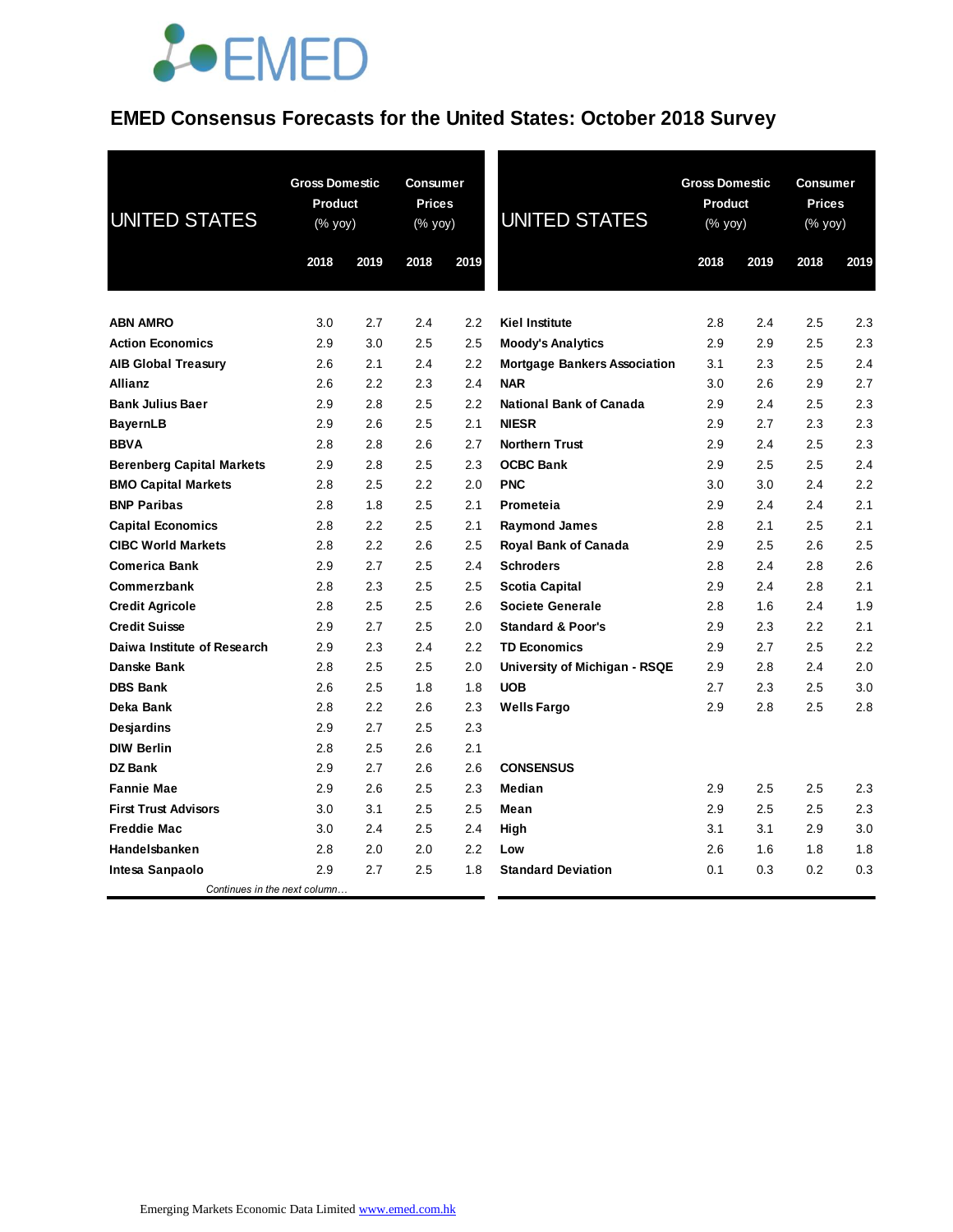## **JOEMED**

### **EMED Consensus Forecasts for the United States: October 2018 Survey**

| <b>UNITED STATES</b>             | <b>Gross Domestic</b><br>Product<br>(% yoy)<br>2018 | 2019 | <b>Consumer</b><br><b>Prices</b><br>(% yoy)<br>2018 | 2019 | <b>UNITED STATES</b>                | 2018 | <b>Gross Domestic</b><br>Product<br>(% yoy)<br>2019 |     | <b>Consumer</b><br><b>Prices</b><br>(% yoy)<br>2018<br>2019 |  |
|----------------------------------|-----------------------------------------------------|------|-----------------------------------------------------|------|-------------------------------------|------|-----------------------------------------------------|-----|-------------------------------------------------------------|--|
| <b>ABN AMRO</b>                  | 3.0                                                 | 2.7  | 2.4                                                 | 2.2  | <b>Kiel Institute</b>               | 2.8  | 2.4                                                 | 2.5 | 2.3                                                         |  |
| <b>Action Economics</b>          | 2.9                                                 | 3.0  | 2.5                                                 | 2.5  | <b>Moody's Analytics</b>            | 2.9  | 2.9                                                 | 2.5 | 2.3                                                         |  |
| <b>AIB Global Treasury</b>       | 2.6                                                 | 2.1  | 2.4                                                 | 2.2  | <b>Mortgage Bankers Association</b> | 3.1  | 2.3                                                 | 2.5 | 2.4                                                         |  |
| <b>Allianz</b>                   | 2.6                                                 | 2.2  | 2.3                                                 | 2.4  | NAR                                 | 3.0  | 2.6                                                 | 2.9 | 2.7                                                         |  |
| <b>Bank Julius Baer</b>          | 2.9                                                 | 2.8  | 2.5                                                 | 2.2  | <b>National Bank of Canada</b>      | 2.9  | 2.4                                                 | 2.5 | 2.3                                                         |  |
| <b>BayernLB</b>                  | 2.9                                                 | 2.6  | 2.5                                                 | 2.1  | <b>NIESR</b>                        | 2.9  | 2.7                                                 | 2.3 | 2.3                                                         |  |
| <b>BBVA</b>                      | 2.8                                                 | 2.8  | 2.6                                                 | 2.7  | <b>Northern Trust</b>               | 2.9  | 2.4                                                 | 2.5 | 2.3                                                         |  |
| <b>Berenberg Capital Markets</b> | 2.9                                                 | 2.8  | 2.5                                                 | 2.3  | <b>OCBC Bank</b>                    | 2.9  | 2.5                                                 | 2.5 | 2.4                                                         |  |
| <b>BMO Capital Markets</b>       | 2.8                                                 | 2.5  | 2.2                                                 | 2.0  | <b>PNC</b>                          | 3.0  | 3.0                                                 | 2.4 | 2.2                                                         |  |
| <b>BNP Paribas</b>               | 2.8                                                 | 1.8  | 2.5                                                 | 2.1  | Prometeia                           | 2.9  | 2.4                                                 | 2.4 | 2.1                                                         |  |
| <b>Capital Economics</b>         | 2.8                                                 | 2.2  | 2.5                                                 | 2.1  | <b>Raymond James</b>                | 2.8  | 2.1                                                 | 2.5 | 2.1                                                         |  |
| <b>CIBC World Markets</b>        | 2.8                                                 | 2.2  | 2.6                                                 | 2.5  | Royal Bank of Canada                | 2.9  | 2.5                                                 | 2.6 | 2.5                                                         |  |
| <b>Comerica Bank</b>             | 2.9                                                 | 2.7  | 2.5                                                 | 2.4  | <b>Schroders</b>                    | 2.8  | 2.4                                                 | 2.8 | 2.6                                                         |  |
| Commerzbank                      | 2.8                                                 | 2.3  | 2.5                                                 | 2.5  | Scotia Capital                      | 2.9  | 2.4                                                 | 2.8 | 2.1                                                         |  |
| <b>Credit Agricole</b>           | 2.8                                                 | 2.5  | 2.5                                                 | 2.6  | <b>Societe Generale</b>             | 2.8  | 1.6                                                 | 2.4 | 1.9                                                         |  |
| <b>Credit Suisse</b>             | 2.9                                                 | 2.7  | 2.5                                                 | 2.0  | <b>Standard &amp; Poor's</b>        | 2.9  | 2.3                                                 | 2.2 | 2.1                                                         |  |
| Daiwa Institute of Research      | 2.9                                                 | 2.3  | 2.4                                                 | 2.2  | <b>TD Economics</b>                 | 2.9  | 2.7                                                 | 2.5 | 2.2                                                         |  |
| Danske Bank                      | 2.8                                                 | 2.5  | 2.5                                                 | 2.0  | University of Michigan - RSQE       | 2.9  | 2.8                                                 | 2.4 | 2.0                                                         |  |
| <b>DBS Bank</b>                  | 2.6                                                 | 2.5  | 1.8                                                 | 1.8  | <b>UOB</b>                          | 2.7  | 2.3                                                 | 2.5 | 3.0                                                         |  |
| Deka Bank                        | 2.8                                                 | 2.2  | 2.6                                                 | 2.3  | <b>Wells Fargo</b>                  | 2.9  | 2.8                                                 | 2.5 | 2.8                                                         |  |
| Desjardins                       | 2.9                                                 | 2.7  | 2.5                                                 | 2.3  |                                     |      |                                                     |     |                                                             |  |
| <b>DIW Berlin</b>                | 2.8                                                 | 2.5  | 2.6                                                 | 2.1  |                                     |      |                                                     |     |                                                             |  |
| <b>DZ Bank</b>                   | 2.9                                                 | 2.7  | 2.6                                                 | 2.6  | <b>CONSENSUS</b>                    |      |                                                     |     |                                                             |  |
| <b>Fannie Mae</b>                | 2.9                                                 | 2.6  | 2.5                                                 | 2.3  | Median                              | 2.9  | 2.5                                                 | 2.5 | 2.3                                                         |  |
| <b>First Trust Advisors</b>      | 3.0                                                 | 3.1  | 2.5                                                 | 2.5  | Mean                                | 2.9  | 2.5                                                 | 2.5 | 2.3                                                         |  |
| <b>Freddie Mac</b>               | 3.0                                                 | 2.4  | 2.5                                                 | 2.4  | High                                | 3.1  | 3.1                                                 | 2.9 | 3.0                                                         |  |
| Handelsbanken                    | 2.8                                                 | 2.0  | 2.0                                                 | 2.2  | Low                                 | 2.6  | 1.6                                                 | 1.8 | 1.8                                                         |  |
| Intesa Sanpaolo                  | 2.9                                                 | 2.7  | 2.5                                                 | 1.8  | <b>Standard Deviation</b>           | 0.1  | 0.3                                                 | 0.2 | 0.3                                                         |  |
| Continues in the next column     |                                                     |      |                                                     |      |                                     |      |                                                     |     |                                                             |  |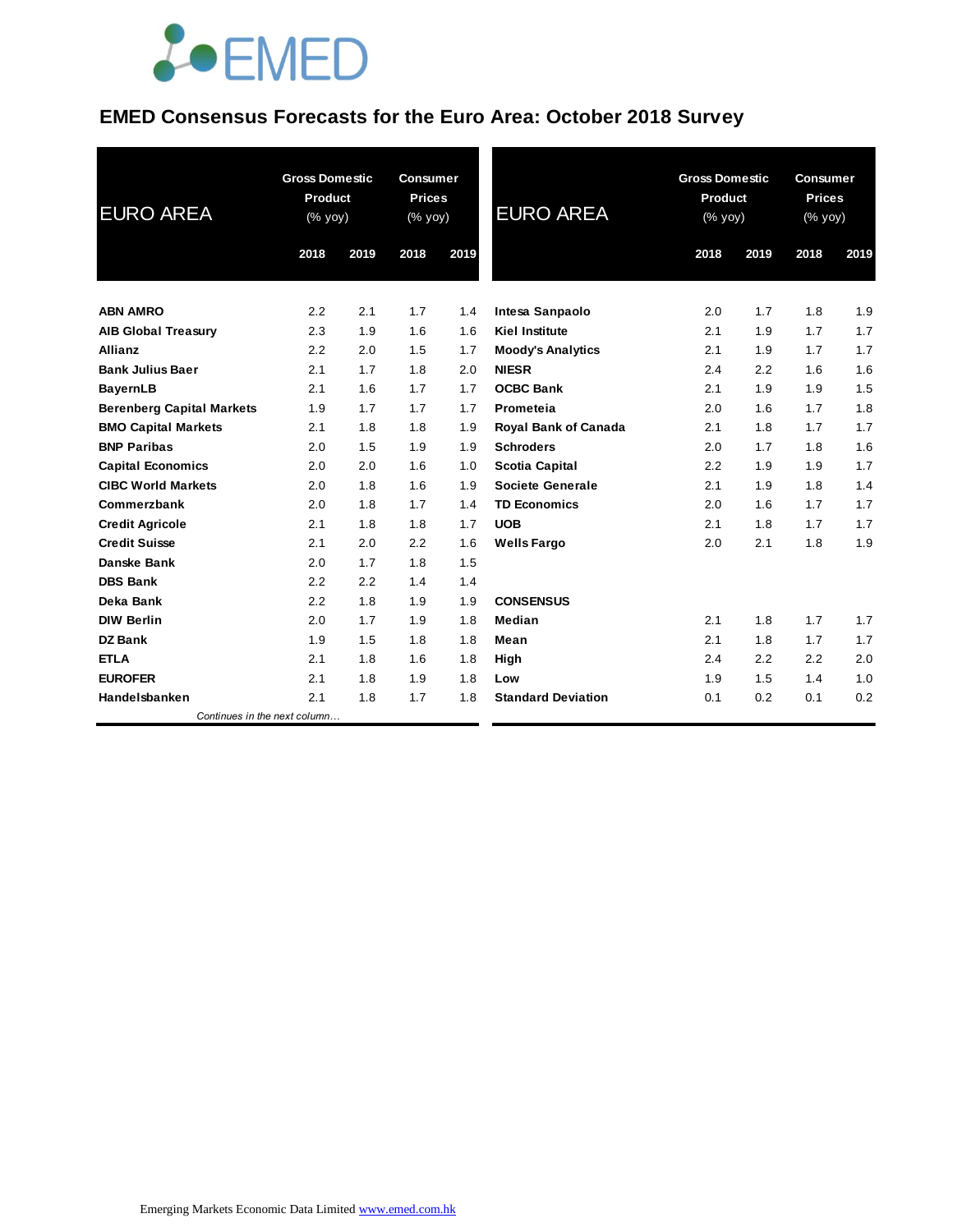

### **EMED Consensus Forecasts for the Euro Area: October 2018 Survey**

| <b>EURO AREA</b>                 | <b>Gross Domestic</b><br><b>Product</b><br>$(%$ (% yoy) |      | <b>Consumer</b><br><b>Prices</b><br>$(%$ yoy $)$ |      | <b>EURO AREA</b>            | <b>Gross Domestic</b><br>Product<br>(% yoy) |      | <b>Consumer</b><br><b>Prices</b><br>$(% \mathsf{y}\right)$ (% yoy) |      |
|----------------------------------|---------------------------------------------------------|------|--------------------------------------------------|------|-----------------------------|---------------------------------------------|------|--------------------------------------------------------------------|------|
|                                  | 2018                                                    | 2019 | 2018                                             | 2019 |                             | 2018                                        | 2019 | 2018                                                               | 2019 |
| <b>ABN AMRO</b>                  | 2.2                                                     | 2.1  | 1.7                                              | 1.4  | Intesa Sanpaolo             | 2.0                                         | 1.7  | 1.8                                                                | 1.9  |
| <b>AIB Global Treasury</b>       | 2.3                                                     | 1.9  | 1.6                                              | 1.6  | <b>Kiel Institute</b>       | 2.1                                         | 1.9  | 1.7                                                                | 1.7  |
| <b>Allianz</b>                   | 2.2                                                     | 2.0  | 1.5                                              | 1.7  | <b>Moody's Analytics</b>    | 2.1                                         | 1.9  | 1.7                                                                | 1.7  |
| <b>Bank Julius Baer</b>          | 2.1                                                     | 1.7  | 1.8                                              | 2.0  | <b>NIESR</b>                | 2.4                                         | 2.2  | 1.6                                                                | 1.6  |
| <b>BayernLB</b>                  | 2.1                                                     | 1.6  | 1.7                                              | 1.7  | <b>OCBC Bank</b>            | 2.1                                         | 1.9  | 1.9                                                                | 1.5  |
| <b>Berenberg Capital Markets</b> | 1.9                                                     | 1.7  | 1.7                                              | 1.7  | Prometeia                   | 2.0                                         | 1.6  | 1.7                                                                | 1.8  |
| <b>BMO Capital Markets</b>       | 2.1                                                     | 1.8  | 1.8                                              | 1.9  | <b>Royal Bank of Canada</b> | 2.1                                         | 1.8  | 1.7                                                                | 1.7  |
| <b>BNP Paribas</b>               | 2.0                                                     | 1.5  | 1.9                                              | 1.9  | <b>Schroders</b>            | 2.0                                         | 1.7  | 1.8                                                                | 1.6  |
| <b>Capital Economics</b>         | 2.0                                                     | 2.0  | 1.6                                              | 1.0  | Scotia Capital              | 2.2                                         | 1.9  | 1.9                                                                | 1.7  |
| <b>CIBC World Markets</b>        | 2.0                                                     | 1.8  | 1.6                                              | 1.9  | Societe Generale            | 2.1                                         | 1.9  | 1.8                                                                | 1.4  |
| Commerzbank                      | 2.0                                                     | 1.8  | 1.7                                              | 1.4  | <b>TD Economics</b>         | 2.0                                         | 1.6  | 1.7                                                                | 1.7  |
| <b>Credit Agricole</b>           | 2.1                                                     | 1.8  | 1.8                                              | 1.7  | <b>UOB</b>                  | 2.1                                         | 1.8  | 1.7                                                                | 1.7  |
| <b>Credit Suisse</b>             | 2.1                                                     | 2.0  | 2.2                                              | 1.6  | <b>Wells Fargo</b>          | 2.0                                         | 2.1  | 1.8                                                                | 1.9  |
| <b>Danske Bank</b>               | 2.0                                                     | 1.7  | 1.8                                              | 1.5  |                             |                                             |      |                                                                    |      |
| <b>DBS Bank</b>                  | 2.2                                                     | 2.2  | 1.4                                              | 1.4  |                             |                                             |      |                                                                    |      |
| Deka Bank                        | 2.2                                                     | 1.8  | 1.9                                              | 1.9  | <b>CONSENSUS</b>            |                                             |      |                                                                    |      |
| <b>DIW Berlin</b>                | 2.0                                                     | 1.7  | 1.9                                              | 1.8  | Median                      | 2.1                                         | 1.8  | 1.7                                                                | 1.7  |
| DZ Bank                          | 1.9                                                     | 1.5  | 1.8                                              | 1.8  | Mean                        | 2.1                                         | 1.8  | 1.7                                                                | 1.7  |
| <b>ETLA</b>                      | 2.1                                                     | 1.8  | 1.6                                              | 1.8  | High                        | 2.4                                         | 2.2  | 2.2                                                                | 2.0  |
| <b>EUROFER</b>                   | 2.1                                                     | 1.8  | 1.9                                              | 1.8  | Low                         | 1.9                                         | 1.5  | 1.4                                                                | 1.0  |
| Handelsbanken                    | 2.1                                                     | 1.8  | 1.7                                              | 1.8  | <b>Standard Deviation</b>   | 0.1                                         | 0.2  | 0.1                                                                | 0.2  |
| Continues in the next column     |                                                         |      |                                                  |      |                             |                                             |      |                                                                    |      |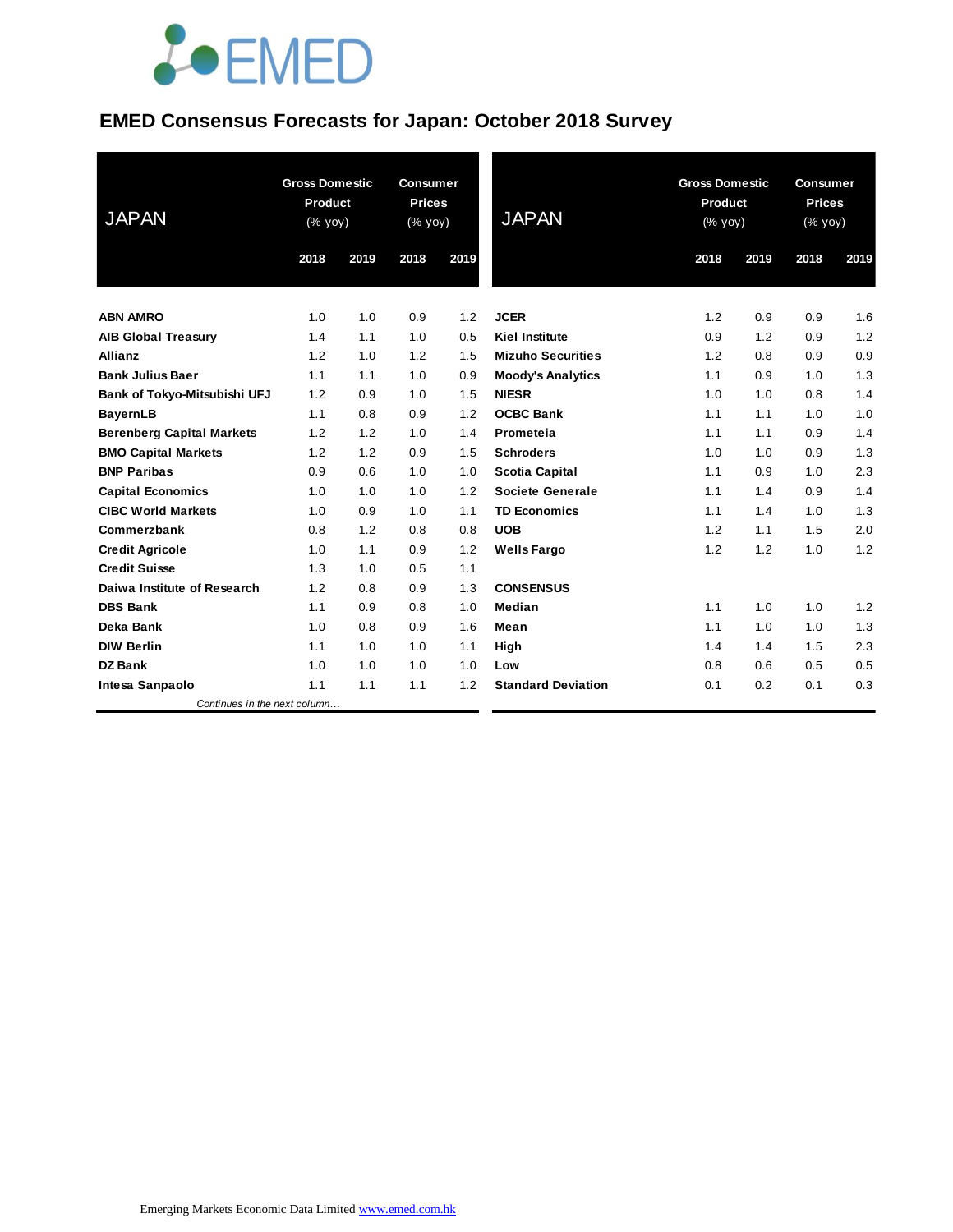# **JOEMED**

### **EMED Consensus Forecasts for Japan: October 2018 Survey**

| <b>JAPAN</b>                     | <b>Gross Domestic</b><br><b>Product</b><br>(% yoy) |      | <b>Consumer</b><br><b>Prices</b><br>$(%$ yoy) |      | <b>JAPAN</b>              | <b>Gross Domestic</b><br>Product<br>(% yoy) |      | <b>Consumer</b><br><b>Prices</b><br>(% yoy) |      |
|----------------------------------|----------------------------------------------------|------|-----------------------------------------------|------|---------------------------|---------------------------------------------|------|---------------------------------------------|------|
|                                  | 2018                                               | 2019 | 2018                                          | 2019 |                           | 2018                                        | 2019 | 2018                                        | 2019 |
| <b>ABN AMRO</b>                  | 1.0                                                | 1.0  | 0.9                                           | 1.2  | <b>JCER</b>               | 1.2                                         | 0.9  | 0.9                                         | 1.6  |
| <b>AIB Global Treasury</b>       | 1.4                                                | 1.1  | 1.0                                           | 0.5  | <b>Kiel Institute</b>     | 0.9                                         | 1.2  | 0.9                                         | 1.2  |
| <b>Allianz</b>                   | 1.2                                                | 1.0  | 1.2                                           | 1.5  | <b>Mizuho Securities</b>  | 1.2                                         | 0.8  | 0.9                                         | 0.9  |
| <b>Bank Julius Baer</b>          | 1.1                                                | 1.1  | 1.0                                           | 0.9  | <b>Moody's Analytics</b>  | 1.1                                         | 0.9  | 1.0                                         | 1.3  |
| Bank of Tokyo-Mitsubishi UFJ     | 1.2                                                | 0.9  | 1.0                                           | 1.5  | <b>NIESR</b>              | 1.0                                         | 1.0  | 0.8                                         | 1.4  |
| <b>BayernLB</b>                  | 1.1                                                | 0.8  | 0.9                                           | 1.2  | <b>OCBC Bank</b>          | 1.1                                         | 1.1  | 1.0                                         | 1.0  |
| <b>Berenberg Capital Markets</b> | 1.2                                                | 1.2  | 1.0                                           | 1.4  | Prometeia                 | 1.1                                         | 1.1  | 0.9                                         | 1.4  |
| <b>BMO Capital Markets</b>       | 1.2                                                | 1.2  | 0.9                                           | 1.5  | <b>Schroders</b>          | 1.0                                         | 1.0  | 0.9                                         | 1.3  |
| <b>BNP Paribas</b>               | 0.9                                                | 0.6  | 1.0                                           | 1.0  | <b>Scotia Capital</b>     | 1.1                                         | 0.9  | 1.0                                         | 2.3  |
| <b>Capital Economics</b>         | 1.0                                                | 1.0  | 1.0                                           | 1.2  | Societe Generale          | 1.1                                         | 1.4  | 0.9                                         | 1.4  |
| <b>CIBC World Markets</b>        | 1.0                                                | 0.9  | 1.0                                           | 1.1  | <b>TD Economics</b>       | 1.1                                         | 1.4  | 1.0                                         | 1.3  |
| Commerzbank                      | 0.8                                                | 1.2  | 0.8                                           | 0.8  | <b>UOB</b>                | 1.2                                         | 1.1  | 1.5                                         | 2.0  |
| <b>Credit Agricole</b>           | 1.0                                                | 1.1  | 0.9                                           | 1.2  | <b>Wells Fargo</b>        | 1.2                                         | 1.2  | 1.0                                         | 1.2  |
| <b>Credit Suisse</b>             | 1.3                                                | 1.0  | 0.5                                           | 1.1  |                           |                                             |      |                                             |      |
| Daiwa Institute of Research      | 1.2                                                | 0.8  | 0.9                                           | 1.3  | <b>CONSENSUS</b>          |                                             |      |                                             |      |
| <b>DBS Bank</b>                  | 1.1                                                | 0.9  | 0.8                                           | 1.0  | Median                    | 1.1                                         | 1.0  | 1.0                                         | 1.2  |
| Deka Bank                        | 1.0                                                | 0.8  | 0.9                                           | 1.6  | Mean                      | 1.1                                         | 1.0  | 1.0                                         | 1.3  |
| <b>DIW Berlin</b>                | 1.1                                                | 1.0  | 1.0                                           | 1.1  | High                      | 1.4                                         | 1.4  | 1.5                                         | 2.3  |
| DZ Bank                          | 1.0                                                | 1.0  | 1.0                                           | 1.0  | Low                       | 0.8                                         | 0.6  | 0.5                                         | 0.5  |
| Intesa Sanpaolo                  | 1.1                                                | 1.1  | 1.1                                           | 1.2  | <b>Standard Deviation</b> | 0.1                                         | 0.2  | 0.1                                         | 0.3  |
| Continues in the next column     |                                                    |      |                                               |      |                           |                                             |      |                                             |      |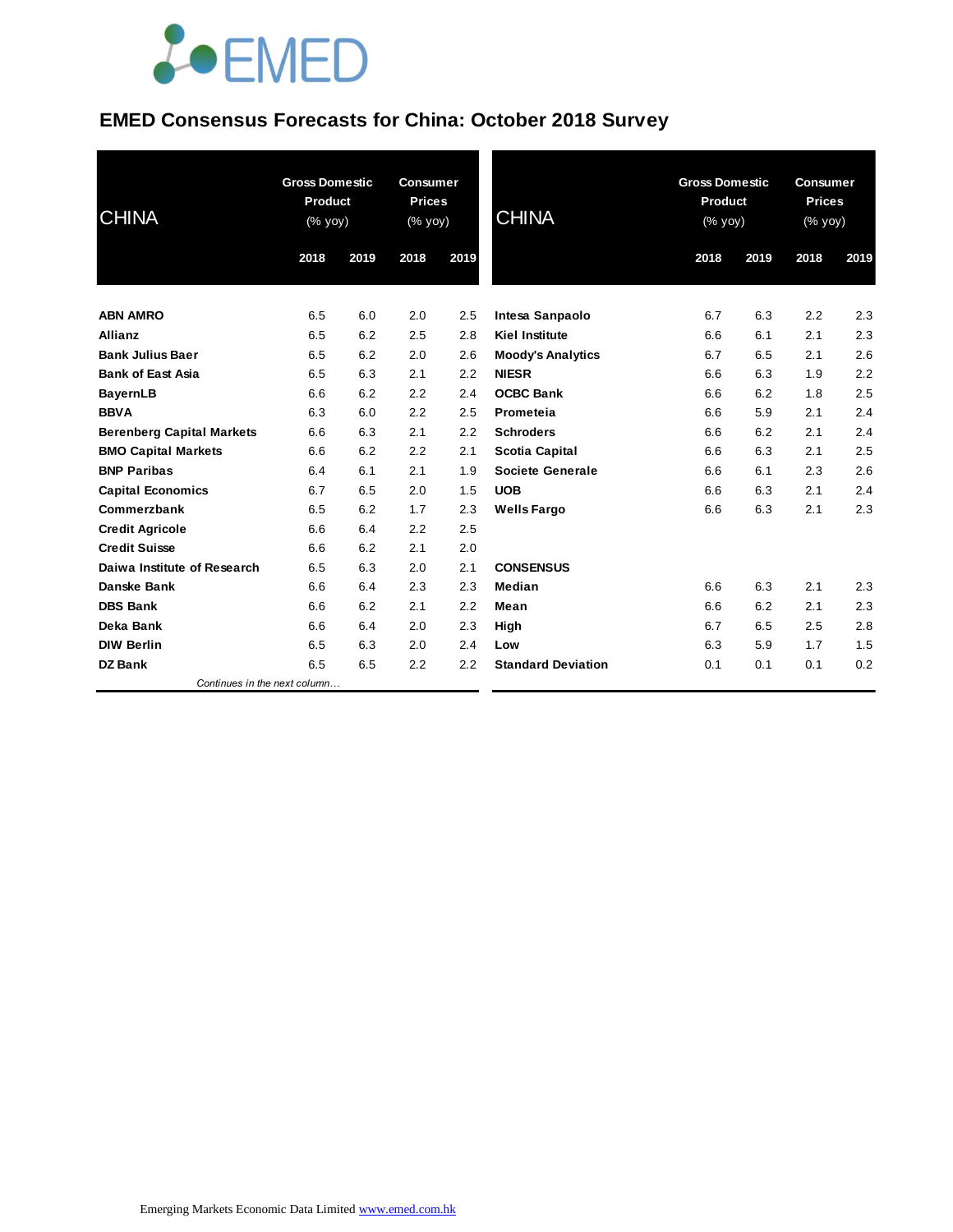# **JOEMED**

### **EMED Consensus Forecasts for China: October 2018 Survey**

| <b>CHINA</b>                     | <b>Gross Domestic</b><br><b>Product</b><br>(% yoy) |      | <b>Consumer</b><br><b>Prices</b><br>(% yoy) |      | <b>CHINA</b>              | <b>Gross Domestic</b><br><b>Product</b><br>(% yoy) |      | <b>Consumer</b><br><b>Prices</b><br>(% yoy) |      |
|----------------------------------|----------------------------------------------------|------|---------------------------------------------|------|---------------------------|----------------------------------------------------|------|---------------------------------------------|------|
|                                  | 2018                                               | 2019 | 2018                                        | 2019 |                           | 2018                                               | 2019 | 2018                                        | 2019 |
| <b>ABN AMRO</b>                  | 6.5                                                | 6.0  | 2.0                                         | 2.5  | Intesa Sanpaolo           | 6.7                                                | 6.3  | 2.2                                         | 2.3  |
| Allianz                          | 6.5                                                | 6.2  | 2.5                                         | 2.8  | <b>Kiel Institute</b>     | 6.6                                                | 6.1  | 2.1                                         | 2.3  |
| <b>Bank Julius Baer</b>          | 6.5                                                | 6.2  | 2.0                                         | 2.6  | <b>Moody's Analytics</b>  | 6.7                                                | 6.5  | 2.1                                         | 2.6  |
| <b>Bank of East Asia</b>         | 6.5                                                | 6.3  | 2.1                                         | 2.2  | <b>NIESR</b>              | 6.6                                                | 6.3  | 1.9                                         | 2.2  |
| <b>BayernLB</b>                  | 6.6                                                | 6.2  | 2.2                                         | 2.4  | <b>OCBC Bank</b>          | 6.6                                                | 6.2  | 1.8                                         | 2.5  |
| <b>BBVA</b>                      | 6.3                                                | 6.0  | 2.2                                         | 2.5  | Prometeia                 | 6.6                                                | 5.9  | 2.1                                         | 2.4  |
| <b>Berenberg Capital Markets</b> | 6.6                                                | 6.3  | 2.1                                         | 2.2  | <b>Schroders</b>          | 6.6                                                | 6.2  | 2.1                                         | 2.4  |
| <b>BMO Capital Markets</b>       | 6.6                                                | 6.2  | 2.2                                         | 2.1  | <b>Scotia Capital</b>     | 6.6                                                | 6.3  | 2.1                                         | 2.5  |
| <b>BNP Paribas</b>               | 6.4                                                | 6.1  | 2.1                                         | 1.9  | Societe Generale          | 6.6                                                | 6.1  | 2.3                                         | 2.6  |
| <b>Capital Economics</b>         | 6.7                                                | 6.5  | 2.0                                         | 1.5  | <b>UOB</b>                | 6.6                                                | 6.3  | 2.1                                         | 2.4  |
| Commerzbank                      | 6.5                                                | 6.2  | 1.7                                         | 2.3  | <b>Wells Fargo</b>        | 6.6                                                | 6.3  | 2.1                                         | 2.3  |
| <b>Credit Agricole</b>           | 6.6                                                | 6.4  | 2.2                                         | 2.5  |                           |                                                    |      |                                             |      |
| <b>Credit Suisse</b>             | 6.6                                                | 6.2  | 2.1                                         | 2.0  |                           |                                                    |      |                                             |      |
| Daiwa Institute of Research      | 6.5                                                | 6.3  | 2.0                                         | 2.1  | <b>CONSENSUS</b>          |                                                    |      |                                             |      |
| <b>Danske Bank</b>               | 6.6                                                | 6.4  | 2.3                                         | 2.3  | Median                    | 6.6                                                | 6.3  | 2.1                                         | 2.3  |
| <b>DBS Bank</b>                  | 6.6                                                | 6.2  | 2.1                                         | 2.2  | Mean                      | 6.6                                                | 6.2  | 2.1                                         | 2.3  |
| Deka Bank                        | 6.6                                                | 6.4  | 2.0                                         | 2.3  | High                      | 6.7                                                | 6.5  | 2.5                                         | 2.8  |
| <b>DIW Berlin</b>                | 6.5                                                | 6.3  | 2.0                                         | 2.4  | Low                       | 6.3                                                | 5.9  | 1.7                                         | 1.5  |
| <b>DZ Bank</b>                   | 6.5                                                | 6.5  | 2.2                                         | 2.2  | <b>Standard Deviation</b> | 0.1                                                | 0.1  | 0.1                                         | 0.2  |
| Continues in the next column     |                                                    |      |                                             |      |                           |                                                    |      |                                             |      |